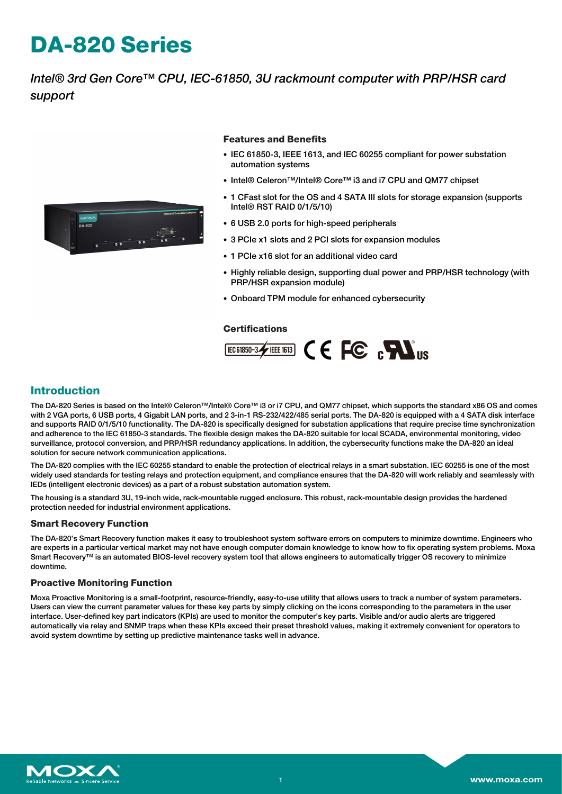# **DA-820 Series**

*Intel® 3rd Gen Core™ CPU, IEC-61850, 3U rackmount computer with PRP/HSR card support*



#### **Features and Benefits**

- IEC 61850-3, IEEE 1613, and IEC 60255 compliant for power substation automation systems
- Intel® Celeron™/Intel® Core™ i3 and i7 CPU and QM77 chipset
- 1 CFast slot for the OS and 4 SATA III slots for storage expansion (supports Intel® RST RAID 0/1/5/10)
- 6 USB 2.0 ports for high-speed peripherals
- 3 PCIe x1 slots and 2 PCI slots for expansion modules
- 1 PCIe x16 slot for an additional video card
- Highly reliable design, supporting dual power and PRP/HSR technology (with PRP/HSR expansion module)
- Onboard TPM module for enhanced cybersecurity

#### **Certifications**



### **Introduction**

The DA-820 Series is based on the Intel® Celeron™/Intel® Core™ i3 or i7 CPU, and QM77 chipset, which supports the standard x86 OS and comes with 2 VGA ports, 6 USB ports, 4 Gigabit LAN ports, and 2 3-in-1 RS-232/422/485 serial ports. The DA-820 is equipped with a 4 SATA disk interface and supports RAID 0/1/5/10 functionality. The DA-820 is specifically designed for substation applications that require precise time synchronization and adherence to the IEC 61850-3 standards. The flexible design makes the DA-820 suitable for local SCADA, environmental monitoring, video surveillance, protocol conversion, and PRP/HSR redundancy applications. In addition, the cybersecurity functions make the DA-820 an ideal solution for secure network communication applications.

The DA-820 complies with the IEC 60255 standard to enable the protection of electrical relays in a smart substation. IEC 60255 is one of the most widely used standards for testing relays and protection equipment, and compliance ensures that the DA-820 will work reliably and seamlessly with IEDs (intelligent electronic devices) as a part of a robust substation automation system.

The housing is a standard 3U, 19-inch wide, rack-mountable rugged enclosure. This robust, rack-mountable design provides the hardened protection needed for industrial environment applications.

#### **Smart Recovery Function**

The DA-820's Smart Recovery function makes it easy to troubleshoot system software errors on computers to minimize downtime. Engineers who are experts in a particular vertical market may not have enough computer domain knowledge to know how to fix operating system problems. Moxa Smart Recovery™ is an automated BIOS-level recovery system tool that allows engineers to automatically trigger OS recovery to minimize downtime.

#### **Proactive Monitoring Function**

Moxa Proactive Monitoring is a small-footprint, resource-friendly, easy-to-use utility that allows users to track a number of system parameters. Users can view the current parameter values for these key parts by simply clicking on the icons corresponding to the parameters in the user interface. User-defined key part indicators (KPIs) are used to monitor the computer's key parts. Visible and/or audio alerts are triggered automatically via relay and SNMP traps when these KPIs exceed their preset threshold values, making it extremely convenient for operators to avoid system downtime by setting up predictive maintenance tasks well in advance.

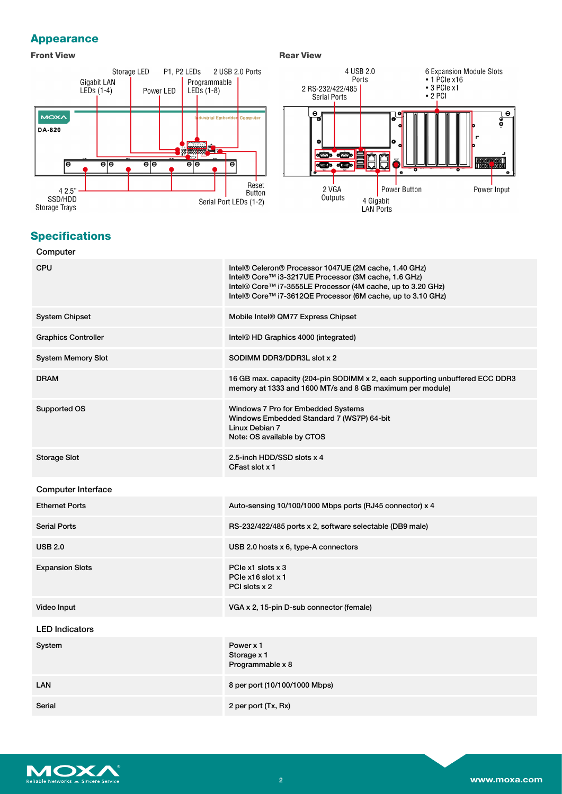### **Appearance**

#### **Front View Rear View Rear View**



### **Specifications**

### **Computer** CPU **Intel® Celeron® Processor 1047UE (2M cache, 1.40 GHz)** Intel® Celeron® Processor 1047UE (2M cache, 1.40 GHz) Intel® Core™ i3-3217UE Processor (3M cache, 1.6 GHz) Intel® Core™ i7-3555LE Processor (4M cache, up to 3.20 GHz) Intel® Core™ i7-3612QE Processor (6M cache, up to 3.10 GHz) System Chipset Mobile Intel® QM77 Express Chipset Graphics Controller **Intel® HD Graphics 4000** (integrated) System Memory Slot South South South South South South South South South South South South South South South South South South South South South South South South South South South South South South South South South South DRAM 16 GB max. capacity (204-pin SODIMM x 2, each supporting unbuffered ECC DDR3 memory at 1333 and 1600 MT/s and 8 GB maximum per module) Supported OS Windows 7 Pro for Embedded Systems Windows Embedded Standard 7 (WS7P) 64-bit Linux Debian 7 Note: OS available by CTOS Storage Slot 2.5-inch HDD/SSD slots x 4 CFast slot x 1 Computer Interface Ethernet Ports **Auto-sensing 10/100/1000 Mbps ports (RJ45 connector) x 4** Serial Ports **RS-232/422/485 ports x 2, software selectable (DB9 male)** RS-232/422/485 ports x 2, software selectable (DB9 male) USB 2.0 USB 2.0 hosts x 6, type-A connectors Expansion Slots **PCIE** x1 slots x 3 PCIe x16 slot x 1 PCI slots x 2 Video Input VGA x 2, 15-pin D-sub connector (female) LED Indicators System Power x 1 Storage x 1 Programmable x 8 LAN 8 per port (10/100/1000 Mbps) Serial 2 per port (Tx, Rx)

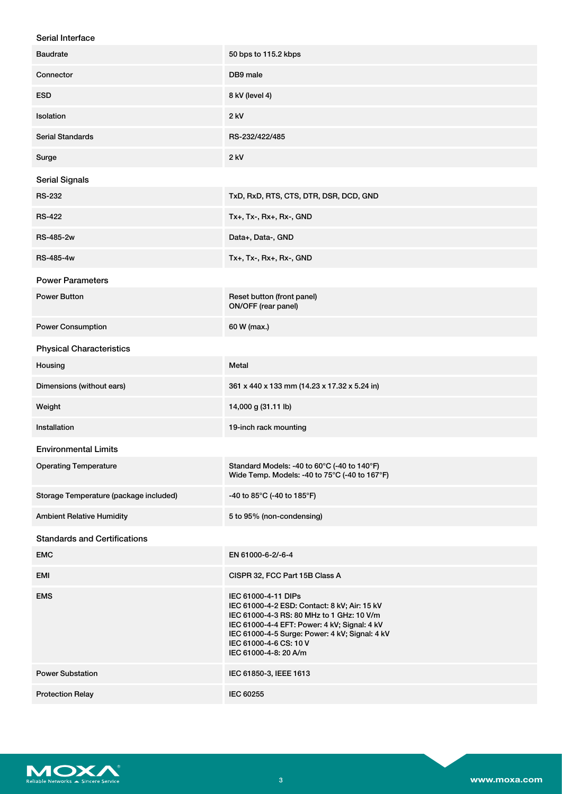| Serial Interface |  |
|------------------|--|
|------------------|--|

| <b>Baudrate</b>                        | 50 bps to 115.2 kbps                                                                                                                                                                                                                                                  |
|----------------------------------------|-----------------------------------------------------------------------------------------------------------------------------------------------------------------------------------------------------------------------------------------------------------------------|
| Connector                              | DB9 male                                                                                                                                                                                                                                                              |
| <b>ESD</b>                             | 8 kV (level 4)                                                                                                                                                                                                                                                        |
| Isolation                              | 2 kV                                                                                                                                                                                                                                                                  |
| <b>Serial Standards</b>                | RS-232/422/485                                                                                                                                                                                                                                                        |
| Surge                                  | $2$ kV                                                                                                                                                                                                                                                                |
| <b>Serial Signals</b>                  |                                                                                                                                                                                                                                                                       |
| <b>RS-232</b>                          | TxD, RxD, RTS, CTS, DTR, DSR, DCD, GND                                                                                                                                                                                                                                |
| <b>RS-422</b>                          | Tx+, Tx-, Rx+, Rx-, GND                                                                                                                                                                                                                                               |
| <b>RS-485-2w</b>                       | Data+, Data-, GND                                                                                                                                                                                                                                                     |
| RS-485-4w                              | Tx+, Tx-, Rx+, Rx-, GND                                                                                                                                                                                                                                               |
| <b>Power Parameters</b>                |                                                                                                                                                                                                                                                                       |
| <b>Power Button</b>                    | Reset button (front panel)<br>ON/OFF (rear panel)                                                                                                                                                                                                                     |
| <b>Power Consumption</b>               | 60 W (max.)                                                                                                                                                                                                                                                           |
| <b>Physical Characteristics</b>        |                                                                                                                                                                                                                                                                       |
| Housing                                | Metal                                                                                                                                                                                                                                                                 |
| Dimensions (without ears)              | 361 x 440 x 133 mm (14.23 x 17.32 x 5.24 in)                                                                                                                                                                                                                          |
| Weight                                 | 14,000 g (31.11 lb)                                                                                                                                                                                                                                                   |
| Installation                           | 19-inch rack mounting                                                                                                                                                                                                                                                 |
| <b>Environmental Limits</b>            |                                                                                                                                                                                                                                                                       |
| <b>Operating Temperature</b>           | Standard Models: -40 to 60°C (-40 to 140°F)<br>Wide Temp. Models: -40 to 75°C (-40 to 167°F)                                                                                                                                                                          |
| Storage Temperature (package included) | -40 to 85°C (-40 to 185°F)                                                                                                                                                                                                                                            |
| <b>Ambient Relative Humidity</b>       | 5 to 95% (non-condensing)                                                                                                                                                                                                                                             |
| <b>Standards and Certifications</b>    |                                                                                                                                                                                                                                                                       |
| <b>EMC</b>                             | EN 61000-6-2/-6-4                                                                                                                                                                                                                                                     |
| <b>EMI</b>                             | CISPR 32, FCC Part 15B Class A                                                                                                                                                                                                                                        |
| <b>EMS</b>                             | IEC 61000-4-11 DIPs<br>IEC 61000-4-2 ESD: Contact: 8 kV; Air: 15 kV<br>IEC 61000-4-3 RS: 80 MHz to 1 GHz: 10 V/m<br>IEC 61000-4-4 EFT: Power: 4 kV; Signal: 4 kV<br>IEC 61000-4-5 Surge: Power: 4 kV; Signal: 4 kV<br>IEC 61000-4-6 CS: 10 V<br>IEC 61000-4-8: 20 A/m |
| <b>Power Substation</b>                | IEC 61850-3, IEEE 1613                                                                                                                                                                                                                                                |
| <b>Protection Relay</b>                | IEC 60255                                                                                                                                                                                                                                                             |

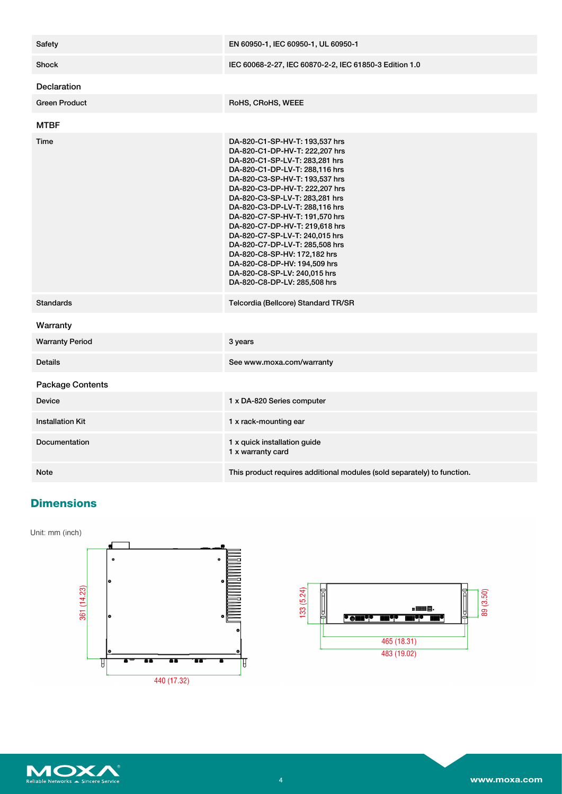| Safety                  | EN 60950-1, IEC 60950-1, UL 60950-1                                                                                                                                                                                                                                                                                                                                                                                                                                                                                                                  |
|-------------------------|------------------------------------------------------------------------------------------------------------------------------------------------------------------------------------------------------------------------------------------------------------------------------------------------------------------------------------------------------------------------------------------------------------------------------------------------------------------------------------------------------------------------------------------------------|
| <b>Shock</b>            | IEC 60068-2-27, IEC 60870-2-2, IEC 61850-3 Edition 1.0                                                                                                                                                                                                                                                                                                                                                                                                                                                                                               |
| <b>Declaration</b>      |                                                                                                                                                                                                                                                                                                                                                                                                                                                                                                                                                      |
| <b>Green Product</b>    | RoHS, CRoHS, WEEE                                                                                                                                                                                                                                                                                                                                                                                                                                                                                                                                    |
| <b>MTBF</b>             |                                                                                                                                                                                                                                                                                                                                                                                                                                                                                                                                                      |
| Time                    | DA-820-C1-SP-HV-T: 193,537 hrs<br>DA-820-C1-DP-HV-T: 222,207 hrs<br>DA-820-C1-SP-LV-T: 283,281 hrs<br>DA-820-C1-DP-LV-T: 288,116 hrs<br>DA-820-C3-SP-HV-T: 193,537 hrs<br>DA-820-C3-DP-HV-T: 222,207 hrs<br>DA-820-C3-SP-LV-T: 283,281 hrs<br>DA-820-C3-DP-LV-T: 288,116 hrs<br>DA-820-C7-SP-HV-T: 191,570 hrs<br>DA-820-C7-DP-HV-T: 219,618 hrs<br>DA-820-C7-SP-LV-T: 240,015 hrs<br>DA-820-C7-DP-LV-T: 285,508 hrs<br>DA-820-C8-SP-HV: 172,182 hrs<br>DA-820-C8-DP-HV: 194,509 hrs<br>DA-820-C8-SP-LV: 240,015 hrs<br>DA-820-C8-DP-LV: 285,508 hrs |
| <b>Standards</b>        | Telcordia (Bellcore) Standard TR/SR                                                                                                                                                                                                                                                                                                                                                                                                                                                                                                                  |
| Warranty                |                                                                                                                                                                                                                                                                                                                                                                                                                                                                                                                                                      |
| <b>Warranty Period</b>  | 3 years                                                                                                                                                                                                                                                                                                                                                                                                                                                                                                                                              |
| <b>Details</b>          | See www.moxa.com/warranty                                                                                                                                                                                                                                                                                                                                                                                                                                                                                                                            |
| <b>Package Contents</b> |                                                                                                                                                                                                                                                                                                                                                                                                                                                                                                                                                      |
| <b>Device</b>           | 1 x DA-820 Series computer                                                                                                                                                                                                                                                                                                                                                                                                                                                                                                                           |
| <b>Installation Kit</b> | 1 x rack-mounting ear                                                                                                                                                                                                                                                                                                                                                                                                                                                                                                                                |
| <b>Documentation</b>    | 1 x quick installation guide<br>1 x warranty card                                                                                                                                                                                                                                                                                                                                                                                                                                                                                                    |
| <b>Note</b>             | This product requires additional modules (sold separately) to function.                                                                                                                                                                                                                                                                                                                                                                                                                                                                              |

### **Dimensions**

Unit: mm (inch)





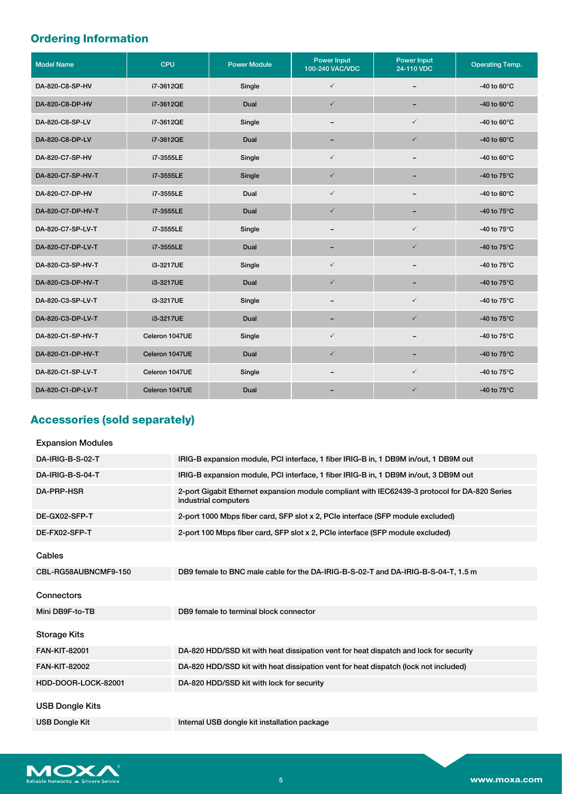## **Ordering Information**

| <b>Model Name</b> | CPU            | <b>Power Module</b> | <b>Power Input</b><br>100-240 VAC/VDC | <b>Power Input</b><br>24-110 VDC | <b>Operating Temp.</b> |
|-------------------|----------------|---------------------|---------------------------------------|----------------------------------|------------------------|
| DA-820-C8-SP-HV   | i7-3612QE      | Single              | $\checkmark$                          | $\overline{\phantom{m}}$         | -40 to $60^{\circ}$ C  |
| DA-820-C8-DP-HV   | i7-3612QE      | Dual                | $\checkmark$                          | -                                | -40 to $60^{\circ}$ C  |
| DA-820-C8-SP-LV   | i7-3612QE      | Single              | $\qquad \qquad$                       | $\checkmark$                     | -40 to $60^{\circ}$ C  |
| DA-820-C8-DP-LV   | i7-3612QE      | Dual                | $\overline{\phantom{0}}$              | $\checkmark$                     | -40 to $60^{\circ}$ C  |
| DA-820-C7-SP-HV   | i7-3555LE      | Single              | $\checkmark$                          | $\overline{\phantom{0}}$         | -40 to $60^{\circ}$ C  |
| DA-820-C7-SP-HV-T | i7-3555LE      | Single              | $\checkmark$                          | $\overline{\phantom{0}}$         | -40 to $75^{\circ}$ C  |
| DA-820-C7-DP-HV   | i7-3555LE      | Dual                | $\checkmark$                          | $\overline{\phantom{m}}$         | -40 to $60^{\circ}$ C  |
| DA-820-C7-DP-HV-T | i7-3555LE      | Dual                | $\checkmark$                          | -                                | -40 to $75^{\circ}$ C  |
| DA-820-C7-SP-LV-T | i7-3555LE      | Single              | $\overline{\phantom{m}}$              | $\checkmark$                     | -40 to 75°C            |
| DA-820-C7-DP-LV-T | i7-3555LE      | Dual                | -                                     | $\checkmark$                     | -40 to $75^{\circ}$ C  |
| DA-820-C3-SP-HV-T | i3-3217UE      | Single              | $\checkmark$                          | $\qquad \qquad$                  | -40 to 75°C            |
| DA-820-C3-DP-HV-T | i3-3217UE      | Dual                | $\checkmark$                          | $\qquad \qquad -$                | -40 to 75°C            |
| DA-820-C3-SP-LV-T | i3-3217UE      | Single              | $\overline{\phantom{0}}$              | $\checkmark$                     | -40 to 75°C            |
| DA-820-C3-DP-LV-T | i3-3217UE      | Dual                | $\overline{\phantom{0}}$              | $\checkmark$                     | -40 to $75^{\circ}$ C  |
| DA-820-C1-SP-HV-T | Celeron 1047UE | Single              | $\checkmark$                          | $\overline{\phantom{m}}$         | -40 to $75^{\circ}$ C  |
| DA-820-C1-DP-HV-T | Celeron 1047UE | Dual                | $\checkmark$                          | -                                | -40 to $75^{\circ}$ C  |
| DA-820-C1-SP-LV-T | Celeron 1047UE | Single              | -                                     | $\checkmark$                     | -40 to $75^{\circ}$ C  |
| DA-820-C1-DP-LV-T | Celeron 1047UE | Dual                |                                       | $\checkmark$                     | -40 to 75°C            |

### **Accessories (sold separately)**

| <b>Expansion Modules</b> |                                                                                                                       |
|--------------------------|-----------------------------------------------------------------------------------------------------------------------|
| DA-IRIG-B-S-02-T         | IRIG-B expansion module, PCI interface, 1 fiber IRIG-B in, 1 DB9M in/out, 1 DB9M out                                  |
| DA-IRIG-B-S-04-T         | IRIG-B expansion module, PCI interface, 1 fiber IRIG-B in, 1 DB9M in/out, 3 DB9M out                                  |
| <b>DA-PRP-HSR</b>        | 2-port Gigabit Ethernet expansion module compliant with IEC62439-3 protocol for DA-820 Series<br>industrial computers |
| DE-GX02-SFP-T            | 2-port 1000 Mbps fiber card, SFP slot x 2, PCIe interface (SFP module excluded)                                       |
| DE-FX02-SFP-T            | 2-port 100 Mbps fiber card, SFP slot x 2, PCIe interface (SFP module excluded)                                        |
| Cables                   |                                                                                                                       |
| CBL-RG58AUBNCMF9-150     | DB9 female to BNC male cable for the DA-IRIG-B-S-02-T and DA-IRIG-B-S-04-T, 1.5 m                                     |
| Connectors               |                                                                                                                       |
| Mini DB9F-to-TB          | DB9 female to terminal block connector                                                                                |
| <b>Storage Kits</b>      |                                                                                                                       |
| <b>FAN-KIT-82001</b>     | DA-820 HDD/SSD kit with heat dissipation vent for heat dispatch and lock for security                                 |
| <b>FAN-KIT-82002</b>     | DA-820 HDD/SSD kit with heat dissipation vent for heat dispatch (lock not included)                                   |
| HDD-DOOR-LOCK-82001      | DA-820 HDD/SSD kit with lock for security                                                                             |
| <b>USB Dongle Kits</b>   |                                                                                                                       |
| <b>USB Dongle Kit</b>    | Internal USB dongle kit installation package                                                                          |